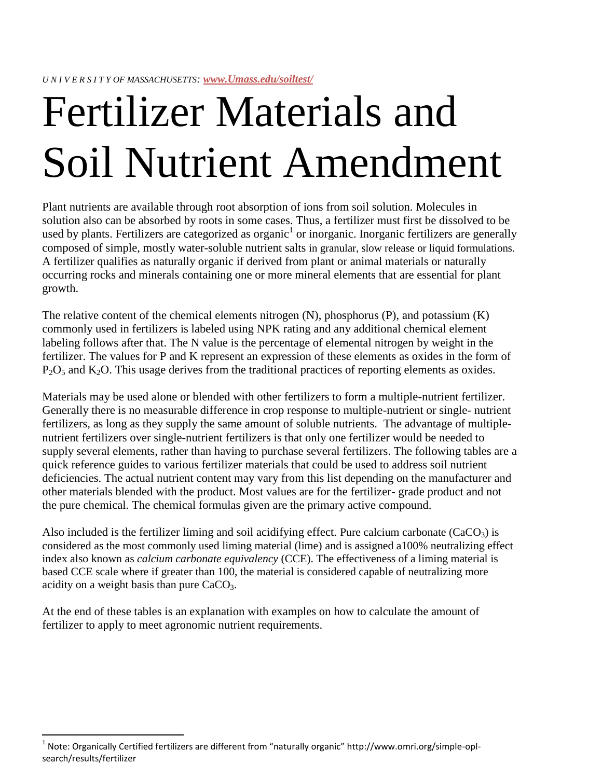# Fertilizer Materials and Soil Nutrient Amendment

Plant nutrients are available through root absorption of ions from soil solution. Molecules in solution also can be absorbed by roots in some cases. Thus, a fertilizer must first be dissolved to be used by plants. Fertilizers are categorized as organic<sup>1</sup> or inorganic. Inorganic fertilizers are generally composed of simple, mostly water-soluble nutrient salts in granular, slow release or liquid formulations. A fertilizer qualifies as naturally organic if derived from plant or animal materials or naturally occurring rocks and minerals containing one or more mineral elements that are essential for plant growth.

The relative content of the chemical elements nitrogen (N), phosphorus (P), and potassium (K) commonly used in fertilizers is labeled using NPK rating and any additional chemical element labeling follows after that. The N value is the percentage of elemental nitrogen by weight in the fertilizer. The values for P and K represent an expression of these elements as oxides in the form of  $P_2O_5$  and  $K_2O$ . This usage derives from the traditional practices of reporting elements as oxides.

Materials may be used alone or blended with other fertilizers to form a multiple-nutrient fertilizer. Generally there is no measurable difference in crop response to multiple-nutrient or single- nutrient fertilizers, as long as they supply the same amount of soluble nutrients. The advantage of multiplenutrient fertilizers over single-nutrient fertilizers is that only one fertilizer would be needed to supply several elements, rather than having to purchase several fertilizers. The following tables are a quick reference guides to various fertilizer materials that could be used to address soil nutrient deficiencies. The actual nutrient content may vary from this list depending on the manufacturer and other materials blended with the product. Most values are for the fertilizer- grade product and not the pure chemical. The chemical formulas given are the primary active compound.

Also included is the fertilizer liming and soil acidifying effect. Pure calcium carbonate (CaCO<sub>3</sub>) is considered as the most commonly used liming material (lime) and is assigned a100% neutralizing effect index also known as *calcium carbonate equivalency* (CCE). The effectiveness of a liming material is based CCE scale where if greater than 100, the material is considered capable of neutralizing more acidity on a weight basis than pure  $CaCO<sub>3</sub>$ .

At the end of these tables is an explanation with examples on how to calculate the amount of fertilizer to apply to meet agronomic nutrient requirements.

 $\overline{a}$ 

 $^1$  Note: Organically Certified fertilizers are different from "naturally organic" http://www.omri.org/simple-oplsearch/results/fertilizer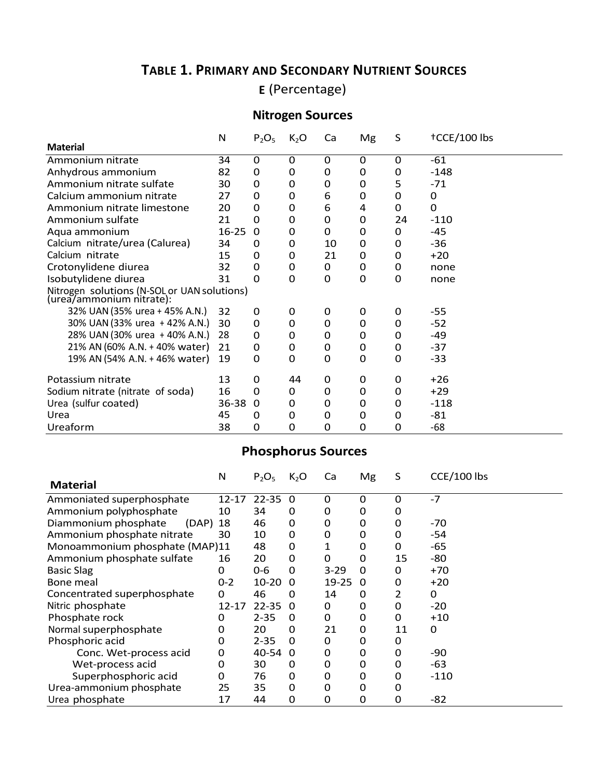## **TABLE 1. PRIMARY AND SECONDARY NUTRIENT SOURCES**

**E** (Percentage)

#### **Nitrogen Sources**

|                                                                         | N         | $P_2O_5$ | $K_2O$   | Ca       | Mg       | S        | †CCE/100 lbs |
|-------------------------------------------------------------------------|-----------|----------|----------|----------|----------|----------|--------------|
| <b>Material</b>                                                         |           |          |          |          |          |          |              |
| Ammonium nitrate                                                        | 34        | 0        | $\Omega$ | 0        | 0        | 0        | $-61$        |
| Anhydrous ammonium                                                      | 82        | 0        | 0        | 0        | 0        | 0        | $-148$       |
| Ammonium nitrate sulfate                                                | 30        | 0        | 0        | 0        | 0        | 5        | $-71$        |
| Calcium ammonium nitrate                                                | 27        | 0        | 0        | 6        | 0        | 0        | 0            |
| Ammonium nitrate limestone                                              | 20        | 0        | 0        | 6        | 4        | $\Omega$ | 0            |
| Ammonium sulfate                                                        | 21        | 0        | 0        | 0        | 0        | 24       | $-110$       |
| Aqua ammonium                                                           | $16 - 25$ | $\Omega$ | 0        | 0        | 0        | 0        | $-45$        |
| Calcium nitrate/urea (Calurea)                                          | 34        | 0        | 0        | 10       | 0        | 0        | $-36$        |
| Calcium nitrate                                                         | 15        | 0        | 0        | 21       | 0        | 0        | $+20$        |
| Crotonylidene diurea                                                    | 32        | 0        | 0        | 0        | 0        | 0        | none         |
| Isobutylidene diurea                                                    | 31        | 0        | 0        | $\Omega$ | 0        | 0        | none         |
| Nitrogen solutions (N-SOL or UAN solutions)<br>(urea/ammonium nitrate): |           |          |          |          |          |          |              |
| 32% UAN (35% urea + 45% A.N.)                                           | 32        | 0        | 0        | 0        | 0        | 0        | -55          |
| 30% UAN (33% urea + 42% A.N.)                                           | 30        | 0        | 0        | 0        | 0        | 0        | -52          |
| 28% UAN (30% urea + 40% A.N.)                                           | 28        | 0        | 0        | 0        | 0        | 0        | -49          |
| 21% AN (60% A.N. + 40% water)                                           | 21        | 0        | 0        | 0        | 0        | 0        | $-37$        |
| 19% AN (54% A.N. + 46% water)                                           | 19        | $\Omega$ | 0        | $\Omega$ | $\Omega$ | 0        | -33          |
| Potassium nitrate                                                       | 13        | $\Omega$ | 44       | 0        | 0        | 0        | $+26$        |
| Sodium nitrate (nitrate of soda)                                        | 16        | $\Omega$ | 0        | 0        | 0        | 0        | $+29$        |
| Urea (sulfur coated)                                                    | 36-38     | $\Omega$ | 0        | 0        | 0        | 0        | $-118$       |
| Urea                                                                    | 45        | 0        | 0        | 0        | 0        | 0        | -81          |
| Ureaform                                                                | 38        | 0        | 0        | 0        | 0        | 0        | -68          |

## **Phosphorus Sources**

|                                        | N         | $P_2O_5$  | $K_2O$   | Ca          | Mg | S  | CCE/100 lbs |
|----------------------------------------|-----------|-----------|----------|-------------|----|----|-------------|
| <b>Material</b>                        |           |           |          |             |    |    |             |
| $12 - 17$<br>Ammoniated superphosphate |           | $22 - 35$ | $\Omega$ | 0           | 0  | 0  | $-7$        |
| Ammonium polyphosphate                 | 10        | 34        | 0        | 0           | 0  | 0  |             |
| Diammonium phosphate<br>(DAP)          | 18        | 46        | 0        | 0           | 0  | 0  | $-70$       |
| Ammonium phosphate nitrate             | 30        | 10        | 0        | 0           | 0  | 0  | -54         |
| Monoammonium phosphate (MAP)11         |           | 48        | 0        | 1           | 0  | 0  | -65         |
| Ammonium phosphate sulfate             | 16        | 20        | 0        | 0           | 0  | 15 | -80         |
| <b>Basic Slag</b>                      | 0         | $0 - 6$   | 0        | $3 - 29$    | 0  | 0  | $+70$       |
| Bone meal                              | $0 - 2$   | $10 - 20$ | $\Omega$ | 19-25       | 0  | 0  | $+20$       |
| Concentrated superphosphate            | 0         | 46        | 0        | 14          | 0  | 2  | 0           |
| Nitric phosphate                       | $12 - 17$ | $22 - 35$ | 0        | 0           | 0  | 0  | $-20$       |
| Phosphate rock                         | 0         | $2 - 35$  | 0        | 0           | 0  | 0  | $+10$       |
| Normal superphosphate                  | 0         | 20        | 0        | 21          | 0  | 11 | $\Omega$    |
| Phosphoric acid                        | 0         | $2 - 35$  | $\Omega$ | 0           | 0  | 0  |             |
| Conc. Wet-process acid                 | 0         | 40-54     | 0        | 0           | 0  | 0  | $-90$       |
| Wet-process acid                       | 0         | 30        | 0        | 0           | 0  | 0  | -63         |
| Superphosphoric acid                   | 0         | 76        | 0        | $\mathbf 0$ | 0  | 0  | $-110$      |
| Urea-ammonium phosphate                | 25        | 35        | $\Omega$ | 0           | 0  | 0  |             |
| Urea phosphate                         | 17        | 44        | 0        | 0           | 0  | 0  | -82         |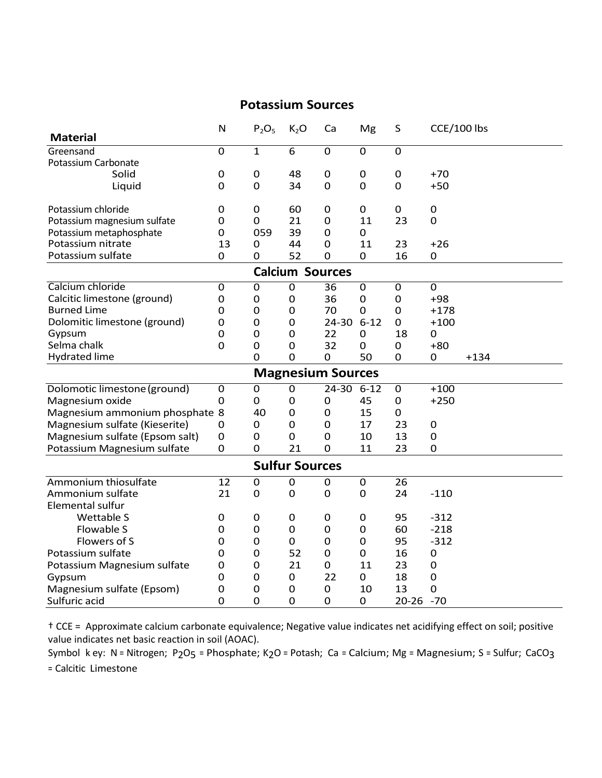#### **Potassium Sources**

|                                | ${\sf N}$      | $P_2O_5$         | K <sub>2</sub> O       | Ca                       | Mg             | S                | CCE/100 lbs      |        |
|--------------------------------|----------------|------------------|------------------------|--------------------------|----------------|------------------|------------------|--------|
| <b>Material</b>                |                |                  |                        |                          |                |                  |                  |        |
| Greensand                      | $\overline{0}$ | $\mathbf{1}$     | $\overline{6}$         | $\overline{0}$           | $\overline{0}$ | $\overline{0}$   |                  |        |
| Potassium Carbonate            |                |                  |                        |                          |                |                  |                  |        |
| Solid                          | $\mathbf 0$    | $\mathbf 0$      | 48                     | $\mathbf 0$              | $\mathbf 0$    | $\boldsymbol{0}$ | $+70$            |        |
| Liquid                         | $\mathbf 0$    | $\mathbf 0$      | 34                     | $\mathbf 0$              | $\mathbf 0$    | $\mathbf 0$      | $+50$            |        |
| Potassium chloride             | 0              | $\boldsymbol{0}$ | 60                     | 0                        | $\mathbf 0$    | $\mathbf 0$      | $\mathbf 0$      |        |
| Potassium magnesium sulfate    | $\mathbf 0$    | $\mathbf 0$      | 21                     | $\mathbf 0$              | 11             | 23               | $\mathbf 0$      |        |
| Potassium metaphosphate        | $\mathbf 0$    | 059              | 39                     | $\mathbf 0$              | $\mathbf 0$    |                  |                  |        |
| Potassium nitrate              | 13             | 0                | 44                     | $\mathbf 0$              | 11             | 23               | $+26$            |        |
| Potassium sulfate              | 0              | $\overline{0}$   | 52                     | $\mathbf 0$              | $\Omega$       | 16               | 0                |        |
|                                |                |                  | <b>Calcium Sources</b> |                          |                |                  |                  |        |
| Calcium chloride               | $\mathbf 0$    | $\boldsymbol{0}$ | $\mathbf 0$            | 36                       | $\mathbf 0$    | $\boldsymbol{0}$ | $\mathbf 0$      |        |
| Calcitic limestone (ground)    | 0              | $\boldsymbol{0}$ | $\mathbf 0$            | 36                       | 0              | $\boldsymbol{0}$ | $+98$            |        |
| <b>Burned Lime</b>             | 0              | 0                | $\mathbf 0$            | 70                       | $\mathbf 0$    | $\mathbf 0$      | $+178$           |        |
| Dolomitic limestone (ground)   | 0              | 0                | 0                      | 24-30                    | $6 - 12$       | $\mathbf 0$      | $+100$           |        |
| Gypsum                         | $\mathbf 0$    | 0                | 0                      | 22                       | $\mathbf 0$    | 18               | $\mathbf 0$      |        |
| Selma chalk                    | 0              | $\boldsymbol{0}$ | $\mathbf 0$            | 32                       | $\mathbf 0$    | $\boldsymbol{0}$ | $+80$            |        |
| <b>Hydrated lime</b>           |                | $\Omega$         | $\mathbf 0$            | $\mathbf 0$              | 50             | $\mathbf 0$      | 0                | $+134$ |
|                                |                |                  |                        | <b>Magnesium Sources</b> |                |                  |                  |        |
| Dolomotic limestone (ground)   | $\mathbf 0$    | 0                | $\mathbf 0$            | 24-30                    | $6 - 12$       | $\mathbf 0$      | $+100$           |        |
| Magnesium oxide                | $\mathbf 0$    | 0                | $\mathbf 0$            | $\boldsymbol{0}$         | 45             | $\mathbf 0$      | $+250$           |        |
| Magnesium ammonium phosphate 8 |                | 40               | $\mathbf 0$            | $\mathbf 0$              | 15             | 0                |                  |        |
| Magnesium sulfate (Kieserite)  | $\mathbf 0$    | 0                | $\mathbf 0$            | $\mathbf 0$              | 17             | 23               | $\mathbf 0$      |        |
| Magnesium sulfate (Epsom salt) | $\mathbf 0$    | $\boldsymbol{0}$ | $\mathbf 0$            | $\boldsymbol{0}$         | 10             | 13               | $\mathbf 0$      |        |
| Potassium Magnesium sulfate    | $\mathbf 0$    | 0                | 21                     | $\mathbf 0$              | 11             | 23               | $\mathbf 0$      |        |
|                                |                |                  | <b>Sulfur Sources</b>  |                          |                |                  |                  |        |
| Ammonium thiosulfate           | 12             | $\pmb{0}$        | $\mathbf 0$            | $\boldsymbol{0}$         | $\mathbf 0$    | 26               |                  |        |
| Ammonium sulfate               | 21             | $\overline{0}$   | 0                      | 0                        | 0              | 24               | $-110$           |        |
| Elemental sulfur               |                |                  |                        |                          |                |                  |                  |        |
| <b>Wettable S</b>              | 0              | $\boldsymbol{0}$ | 0                      | 0                        | 0              | 95               | $-312$           |        |
| Flowable S                     | 0              | $\boldsymbol{0}$ | $\mathbf 0$            | $\mathbf 0$              | $\mathbf 0$    | 60               | $-218$           |        |
| Flowers of S                   | 0              | 0                | $\overline{0}$         | $\mathbf 0$              | $\mathbf 0$    | 95               | $-312$           |        |
| Potassium sulfate              | 0              | $\mathbf 0$      | 52                     | $\mathbf 0$              | $\mathbf 0$    | 16               | $\mathbf 0$      |        |
| Potassium Magnesium sulfate    | 0              | $\mathbf 0$      | 21                     | $\boldsymbol{0}$         | 11             | 23               | $\mathbf 0$      |        |
| Gypsum                         | 0              | $\mathbf 0$      | $\mathbf 0$            | 22                       | $\mathbf 0$    | 18               | $\mathbf 0$      |        |
| Magnesium sulfate (Epsom)      | 0              | 0                | 0                      | 0                        | 10             | 13               | $\boldsymbol{0}$ |        |
| Sulfuric acid                  | $\Omega$       | 0                | $\mathbf 0$            | 0                        | $\mathbf 0$    | 20-26 -70        |                  |        |

† CCE = Approximate calcium carbonate equivalence; Negative value indicates net acidifying effect on soil; positive value indicates net basic reaction in soil (AOAC).

Symbol k ey: N = Nitrogen; P2O<sub>5</sub> = Phosphate; K2O = Potash; Ca = Calcium; Mg = Magnesium; S = Sulfur; CaCO<sub>3</sub> = Calcitic Limestone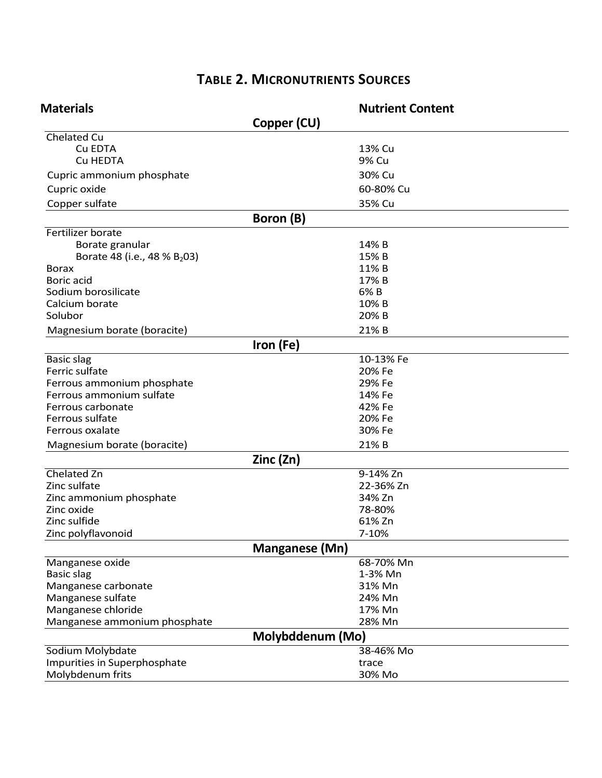## **TABLE 2. MICRONUTRIENTS SOURCES**

| <b>Materials</b>                         |                       | <b>Nutrient Content</b> |
|------------------------------------------|-----------------------|-------------------------|
|                                          | Copper (CU)           |                         |
| Chelated Cu                              |                       |                         |
| Cu EDTA                                  |                       | 13% Cu                  |
| Cu HEDTA                                 |                       | 9% Cu                   |
| Cupric ammonium phosphate                |                       | 30% Cu                  |
| Cupric oxide                             |                       | 60-80% Cu               |
| Copper sulfate                           |                       | 35% Cu                  |
|                                          | Boron (B)             |                         |
| Fertilizer borate                        |                       |                         |
| Borate granular                          |                       | 14% B                   |
| Borate 48 (i.e., 48 % B <sub>2</sub> 03) |                       | 15% B                   |
| <b>Borax</b>                             |                       | 11% B                   |
| Boric acid                               |                       | 17% B                   |
| Sodium borosilicate                      |                       | 6% B                    |
| Calcium borate                           |                       | 10% B                   |
| Solubor                                  |                       | 20% B                   |
| Magnesium borate (boracite)              |                       | 21% B                   |
|                                          | Iron (Fe)             |                         |
| <b>Basic slag</b>                        |                       | 10-13% Fe               |
| Ferric sulfate                           |                       | 20% Fe                  |
| Ferrous ammonium phosphate               |                       | 29% Fe                  |
| Ferrous ammonium sulfate                 |                       | 14% Fe                  |
| Ferrous carbonate                        |                       | 42% Fe                  |
| Ferrous sulfate                          |                       | 20% Fe                  |
| Ferrous oxalate                          |                       | 30% Fe                  |
| Magnesium borate (boracite)              |                       | 21% B                   |
|                                          | Zinc (Zn)             |                         |
| Chelated Zn                              |                       | 9-14% Zn                |
| Zinc sulfate                             |                       | 22-36% Zn               |
| Zinc ammonium phosphate                  |                       | 34% Zn                  |
| Zinc oxide                               |                       | 78-80%                  |
| Zinc sulfide                             |                       | 61% Zn                  |
| Zinc polyflavonoid                       |                       | 7-10%                   |
|                                          | <b>Manganese (Mn)</b> |                         |
| Manganese oxide                          |                       | 68-70% Mn               |
| <b>Basic slag</b>                        |                       | 1-3% Mn                 |
| Manganese carbonate                      |                       | 31% Mn                  |
| Manganese sulfate                        |                       | 24% Mn                  |
| Manganese chloride                       |                       | 17% Mn                  |
| Manganese ammonium phosphate             |                       | 28% Mn                  |
|                                          | Molybddenum (Mo)      |                         |
| Sodium Molybdate                         |                       | 38-46% Mo               |
| Impurities in Superphosphate             |                       | trace                   |
| Molybdenum frits                         |                       | 30% Mo                  |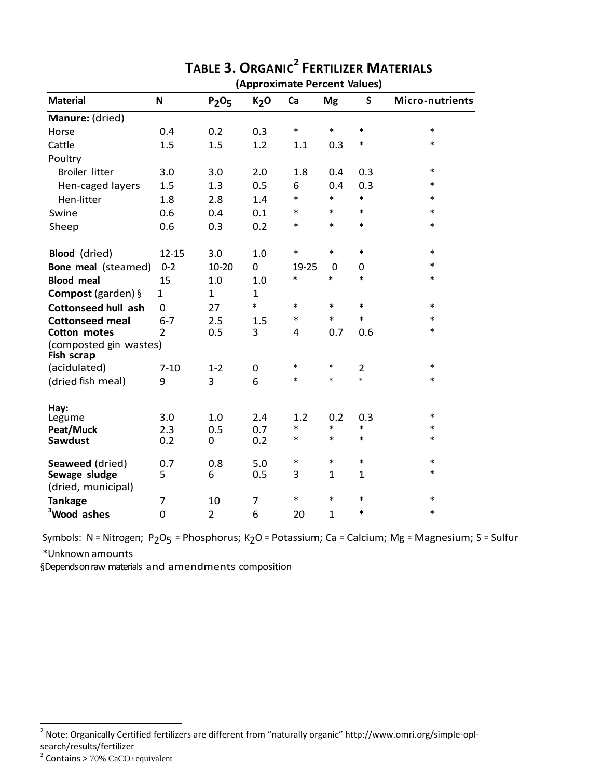|                                      |                |                               |                  | (Approximate referre values) |                  |                  |                  |
|--------------------------------------|----------------|-------------------------------|------------------|------------------------------|------------------|------------------|------------------|
| <b>Material</b>                      | $\mathsf{N}$   | P <sub>2</sub> O <sub>5</sub> | K <sub>2</sub> O | Ca                           | <b>Mg</b>        | S                | Micro-nutrients  |
| Manure: (dried)                      |                |                               |                  |                              |                  |                  |                  |
| Horse                                | 0.4            | 0.2                           | 0.3              | $\ast$                       | $\ast$           | $\ast$           | $\ast$           |
| Cattle                               | 1.5            | 1.5                           | 1.2              | 1.1                          | 0.3              | $\ast$           | $\ast$           |
| Poultry                              |                |                               |                  |                              |                  |                  |                  |
| <b>Broiler litter</b>                | 3.0            | 3.0                           | 2.0              | 1.8                          | 0.4              | 0.3              | $\ast$           |
| Hen-caged layers                     | 1.5            | 1.3                           | 0.5              | 6                            | 0.4              | 0.3              | $\ast$           |
| Hen-litter                           | 1.8            | 2.8                           | 1.4              | $\ast$                       | $\ast$           | $\ast$           | $\ast$           |
| Swine                                | 0.6            | 0.4                           | 0.1              | $\ast$                       | $\ast$           | $\ast$           | $\ast$           |
| Sheep                                | 0.6            | 0.3                           | 0.2              | $\ast$                       | $\ast$           | $\ast$           | $\ast$           |
| <b>Blood</b> (dried)                 | $12 - 15$      | 3.0                           | 1.0              | $\ast$                       | $\ast$           | $\ast$           | $\ast$           |
| Bone meal (steamed)                  | $0 - 2$        | $10 - 20$                     | $\mathbf 0$      | 19-25                        | 0                | $\mathbf 0$      | $\ast$           |
| <b>Blood meal</b>                    | 15             | 1.0                           | 1.0              | $\ast$                       | $\ast$           | $\ast$           | $\ast$           |
| <b>Compost</b> (garden) $\S$         | $\mathbf{1}$   | $\mathbf{1}$                  | $\mathbf{1}$     |                              |                  |                  |                  |
| <b>Cottonseed hull ash</b>           | $\mathbf 0$    | 27                            | $\ast$           | $\ast$                       | $\ast$           | $\ast$           | $\ast$           |
| <b>Cottonseed meal</b>               | $6 - 7$        | 2.5                           | 1.5              | *                            | $\ast$           | $\ast$           | $\ast$           |
| Cotton motes                         | $\overline{2}$ | 0.5                           | 3                | $\overline{4}$               | 0.7              | 0.6              | $\ast$           |
| (composted gin wastes)<br>Fish scrap |                |                               |                  |                              |                  |                  |                  |
| (acidulated)                         | $7 - 10$       | $1 - 2$                       | $\pmb{0}$        | $\ast$                       | $\ast$           | $\overline{2}$   | $\ast$           |
| (dried fish meal)                    | 9              | $\overline{3}$                | 6                | $\ast$                       | $\ast$           | $\ast$           | $\ast$           |
| Hay:                                 |                |                               |                  |                              |                  |                  |                  |
| Legume                               | 3.0            | 1.0                           | 2.4              | 1.2                          | 0.2              | 0.3              | $\ast$           |
| Peat/Muck                            | 2.3            | 0.5                           | 0.7              | *<br>$\ast$                  | $\ast$<br>$\ast$ | $\ast$<br>$\ast$ | $\ast$<br>$\ast$ |
| <b>Sawdust</b>                       | 0.2            | 0                             | 0.2              |                              |                  |                  |                  |
| Seaweed (dried)                      | 0.7            | 0.8                           | 5.0              | $\ast$                       | $\ast$           | $\ast$           | $\ast$           |
| Sewage sludge                        | 5              | 6                             | 0.5              | 3                            | $\mathbf{1}$     | $\mathbf{1}$     | $\ast$           |
| (dried, municipal)                   |                |                               |                  |                              |                  |                  |                  |
| <b>Tankage</b>                       | $\overline{7}$ | 10                            | $\overline{7}$   | $\ast$                       | $\ast$           | $\ast$           | $\ast$           |
| <sup>3</sup> Wood ashes              | 0              | $\overline{2}$                | 6                | 20                           | $\mathbf{1}$     | $\ast$           | $\ast$           |

#### **TABLE 3. ORGANIC<sup>2</sup> FERTILIZER MATERIALS (Approximate Percent Values)**

Symbols: N = Nitrogen; P<sub>2</sub>O<sub>5</sub> = Phosphorus; K<sub>2</sub>O = Potassium; Ca = Calcium; Mg = Magnesium; S = Sulfur \*Unknown amounts

§Depends on raw materials and amendments composition

 2 Note: Organically Certified fertilizers are different from "naturally organic" http://www.omri.org/simple-opl-

search/results/fertilizer<br><sup>3</sup> Contains > 70% CaCO3 equivalent